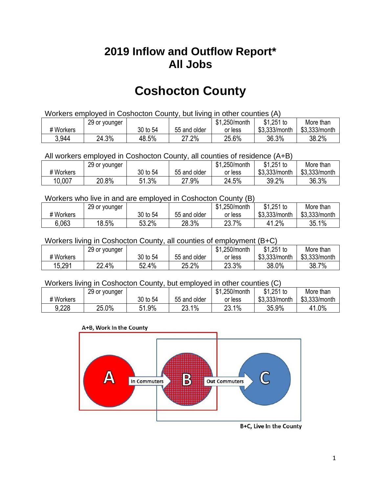## **2019 Inflow and Outflow Report\* All Jobs**

# **Coshocton County**

| Workers employed in Coshocton County, but living in other counties (A) |                                                            |          |              |         |               |               |  |  |  |
|------------------------------------------------------------------------|------------------------------------------------------------|----------|--------------|---------|---------------|---------------|--|--|--|
|                                                                        | $$1,251$ to<br>\$1,250/month<br>More than<br>29 or younger |          |              |         |               |               |  |  |  |
| # Workers                                                              |                                                            | 30 to 54 | 55 and older | or less | \$3.333/month | \$3,333/month |  |  |  |
| 3.944                                                                  | 24.3%                                                      | 48.5%    | 27.2%        | 25.6%   | 36.3%         | 38.2%         |  |  |  |

All workers employed in Coshocton County, all counties of residence (A+B)

|           | 29 or younger |          |              | \$1,250/month | \$1,251 to    | More than     |
|-----------|---------------|----------|--------------|---------------|---------------|---------------|
| # Workers |               | 30 to 54 | 55 and older | or less       | \$3,333/month | \$3,333/month |
| 10,007    | 20.8%         | 51.3%    | 27.9%        | 24.5%         | 39.2%         | 36.3%         |

#### Workers who live in and are employed in Coshocton County (B)

|           | 29 or younger |          |              | \$1,250/month | $$1,251$ to   | More than     |
|-----------|---------------|----------|--------------|---------------|---------------|---------------|
| # Workers |               | 30 to 54 | 55 and older | or less       | \$3,333/month | \$3,333/month |
| 6.063     | 18.5%         | 53.2%    | 28.3%        | 23.7%         | 1.2%          | 35.1%         |

#### Workers living in Coshocton County, all counties of employment (B+C)

|           | 29 or younger |          |              | \$1,250/month | $$1,251$ to   | More than     |
|-----------|---------------|----------|--------------|---------------|---------------|---------------|
| # Workers |               | 30 to 54 | 55 and older | or less       | \$3,333/month | \$3,333/month |
| 15,291    | 22.4%         | 32.4%    | 25.2%        | 23.3%         | 38.0%         | 38.7%         |

#### Workers living in Coshocton County, but employed in other counties (C)

|           | 29 or younger |          |              | \$1,250/month | $$1,251$ to   | More than     |
|-----------|---------------|----------|--------------|---------------|---------------|---------------|
| # Workers |               | 30 to 54 | 55 and older | or less       | \$3,333/month | \$3,333/month |
| 9,228     | 25.0%         | 31.9%    | 23.1%        | 23.1%         | 35.9%         | 41.0%         |





B+C, Live In the County